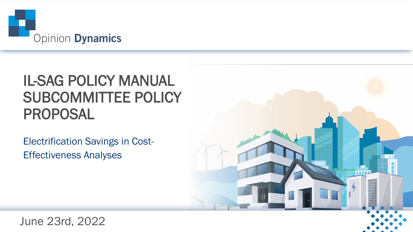

## IL-SAG POLICY MANUAL SUBCOMMITTEE POLICY PROPOSAL

Electrification Savings in Cost-Effectiveness Analyses



June 23rd, 2022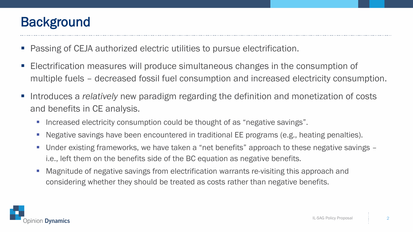#### **Background**

- Passing of CEJA authorized electric utilities to pursue electrification.
- Electrification measures will produce simultaneous changes in the consumption of multiple fuels – decreased fossil fuel consumption and increased electricity consumption.
- Introduces a *relatively* new paradigm regarding the definition and monetization of costs and benefits in CE analysis.
	- Increased electricity consumption could be thought of as "negative savings".
	- Negative savings have been encountered in traditional EE programs (e.g., heating penalties).
	- Under existing frameworks, we have taken a "net benefits" approach to these negative savings i.e., left them on the benefits side of the BC equation as negative benefits.
	- Magnitude of negative savings from electrification warrants re-visiting this approach and considering whether they should be treated as costs rather than negative benefits.

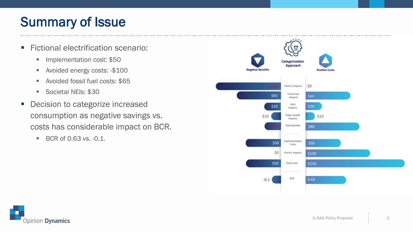### Summary of Issue

- **Fictional electrification scenario:** 
	- **Implementation cost: \$50**
	- Avoided energy costs: -\$100
	- **Avoided fossil fuel costs: \$65**
	- Societal NEIs: \$30
- **Decision to categorize increased** consumption as negative savings vs. costs has considerable impact on BCR.
	- $\blacksquare$  BCR of 0.63 vs.  $-0.1$ .



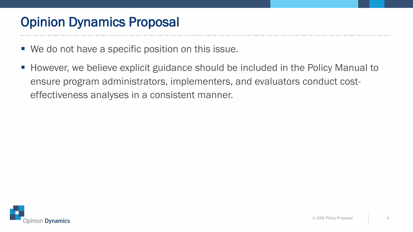### Opinion Dynamics Proposal

- We do not have a specific position on this issue.
- **However, we believe explicit guidance should be included in the Policy Manual to** ensure program administrators, implementers, and evaluators conduct costeffectiveness analyses in a consistent manner.